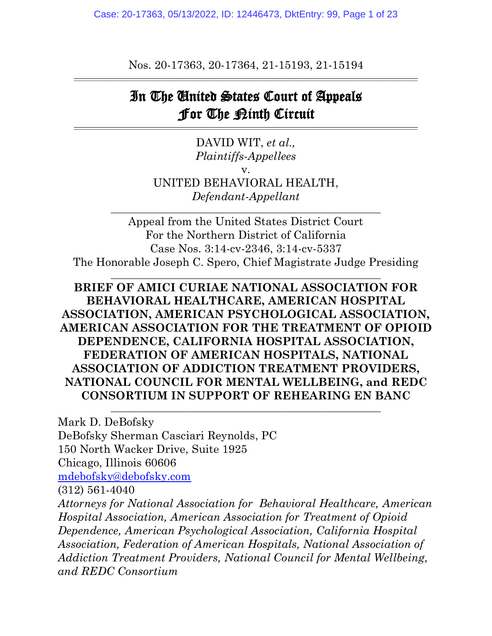Case: 20-17363, 05/13/2022, ID: 12446473, DktEntry: 99, Page 1 of 23

Nos. 20-17363, 20-17364, 21-15193, 21-15194 \_\_\_\_\_\_\_\_\_\_\_\_\_\_\_\_\_\_\_\_\_\_\_\_\_\_\_\_\_\_\_\_\_\_\_\_\_\_\_\_\_\_\_\_\_\_\_\_\_\_\_\_\_\_\_\_\_\_\_\_\_\_\_\_\_\_\_\_\_\_\_\_\_\_\_\_\_\_\_\_\_\_\_\_\_\_\_\_\_\_\_\_\_\_\_\_\_\_\_\_\_\_\_\_\_\_\_

# In The United States Court of Appeals For The Ninth Circuit

\_\_\_\_\_\_\_\_\_\_\_\_\_\_\_\_\_\_\_\_\_\_\_\_\_\_\_\_\_\_\_\_\_\_\_\_\_\_\_\_\_\_\_\_\_\_\_\_\_\_\_\_\_\_\_\_\_\_\_\_\_\_\_\_\_\_\_\_\_\_\_\_\_\_\_\_\_\_\_\_\_\_\_\_\_\_\_\_\_\_\_\_\_\_\_\_\_\_\_\_\_\_\_\_\_\_\_

DAVID WIT, *et al., Plaintiffs-Appellees* v. UNITED BEHAVIORAL HEALTH, *Defendant-Appellant* \_\_\_\_\_\_\_\_\_\_\_\_\_\_\_\_\_\_\_\_\_\_\_\_\_\_\_\_\_\_\_\_\_\_\_\_\_\_\_\_\_\_\_\_\_\_\_\_\_\_\_\_\_\_\_\_

Appeal from the United States District Court For the Northern District of California Case Nos. 3:14-cv-2346, 3:14-cv-5337 The Honorable Joseph C. Spero, Chief Magistrate Judge Presiding

\_\_\_\_\_\_\_\_\_\_\_\_\_\_\_\_\_\_\_\_\_\_\_\_\_\_\_\_\_\_\_\_\_\_\_\_\_\_\_\_\_\_\_\_\_\_\_\_\_\_\_\_\_\_\_\_

### **BRIEF OF AMICI CURIAE NATIONAL ASSOCIATION FOR BEHAVIORAL HEALTHCARE, AMERICAN HOSPITAL ASSOCIATION, AMERICAN PSYCHOLOGICAL ASSOCIATION, AMERICAN ASSOCIATION FOR THE TREATMENT OF OPIOID DEPENDENCE, CALIFORNIA HOSPITAL ASSOCIATION, FEDERATION OF AMERICAN HOSPITALS, NATIONAL ASSOCIATION OF ADDICTION TREATMENT PROVIDERS, NATIONAL COUNCIL FOR MENTAL WELLBEING, and REDC CONSORTIUM IN SUPPORT OF REHEARING EN BANC**

 $\mathcal{L}_\text{max}$  , and the contract of the contract of the contract of the contract of the contract of the contract of the contract of the contract of the contract of the contract of the contract of the contract of the contr

Mark D. DeBofsky DeBofsky Sherman Casciari Reynolds, PC 150 North Wacker Drive, Suite 1925 Chicago, Illinois 60606 [mdebofsky@debofsky.com](mailto:mdebofsky@debofsky.com) (312) 561-4040 *Attorneys for National Association for Behavioral Healthcare, American Hospital Association, American Association for Treatment of Opioid Dependence, American Psychological Association, California Hospital Association, Federation of American Hospitals, National Association of Addiction Treatment Providers, National Council for Mental Wellbeing, and REDC Consortium*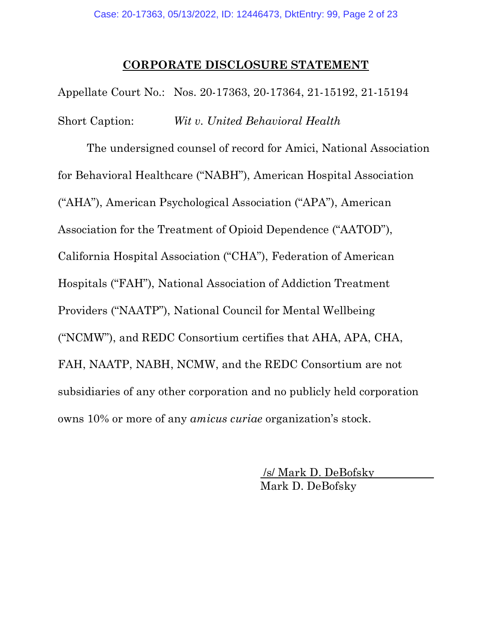#### **CORPORATE DISCLOSURE STATEMENT**

Appellate Court No.: Nos. 20-17363, 20-17364, 21-15192, 21-15194 Short Caption: *Wit v. United Behavioral Health*

The undersigned counsel of record for Amici, National Association for Behavioral Healthcare ("NABH"), American Hospital Association ("AHA"), American Psychological Association ("APA"), American Association for the Treatment of Opioid Dependence ("AATOD"), California Hospital Association ("CHA"), Federation of American Hospitals ("FAH"), National Association of Addiction Treatment Providers ("NAATP"), National Council for Mental Wellbeing ("NCMW"), and REDC Consortium certifies that AHA, APA, CHA, FAH, NAATP, NABH, NCMW, and the REDC Consortium are not subsidiaries of any other corporation and no publicly held corporation owns 10% or more of any *amicus curiae* organization's stock.

> /s/ Mark D. DeBofsky Mark D. DeBofsky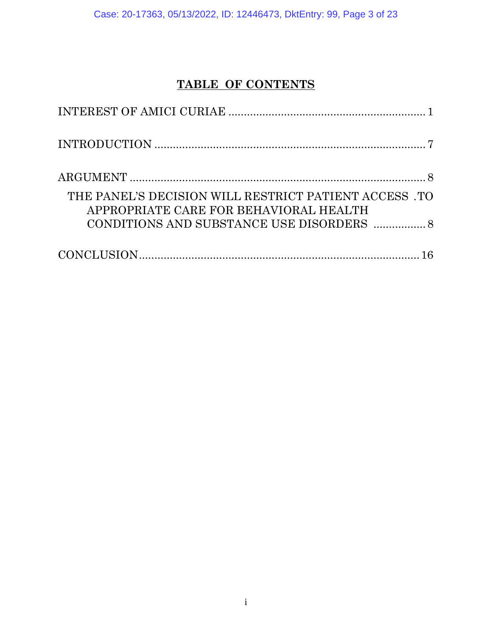Case: 20-17363, 05/13/2022, ID: 12446473, DktEntry: 99, Page 3 of 23

## **TABLE OF CONTENTS**

| THE PANEL'S DECISION WILL RESTRICT PATIENT ACCESS. TO<br>APPROPRIATE CARE FOR BEHAVIORAL HEALTH |
|-------------------------------------------------------------------------------------------------|
|                                                                                                 |
|                                                                                                 |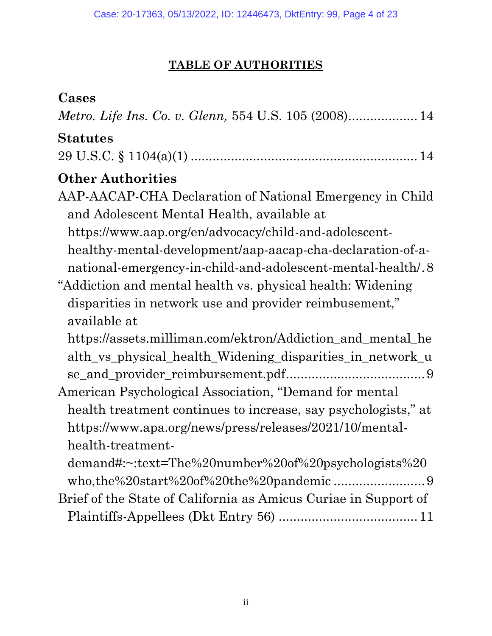## **TABLE OF AUTHORITIES**

## **Cases**

*Metro. Life Ins. Co. v. Glenn,* 554 U.S. 105 (2008)...................14

## **Statutes**

|--|--|--|

## **Other Authorities**

| AAP-AACAP-CHA Declaration of National Emergency in Child    |
|-------------------------------------------------------------|
| and Adolescent Mental Health, available at                  |
| https://www.aap.org/en/advocacy/child-and-adolescent-       |
| healthy-mental-development/aap-aacap-cha-declaration-of-a-  |
| national-emergency-in-child-and-adolescent-mental-health/.8 |
|                                                             |

# "Addiction and mental health vs. physical health: Widening disparities in network use and provider reimbusement," available at

- https://assets.milliman.com/ektron/Addiction\_and\_mental\_he alth\_vs\_physical\_health\_Widening\_disparities\_in\_network\_u se\_and\_provider\_reimbursement.pdf......................................9
- American Psychological Association, "Demand for mental health treatment continues to increase, say psychologists," at https://www.apa.org/news/press/releases/2021/10/mentalhealth-treatment
	- demand#:~:text=The%20number%20of%20psychologists%20 who,the%20start%20of%20the%20pandemic .........................9
- Brief of the State of California as Amicus Curiae in Support of Plaintiffs-Appellees (Dkt Entry 56) ......................................11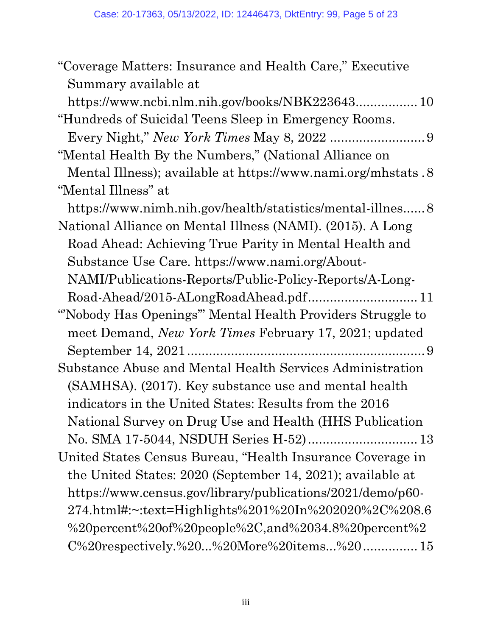| "Coverage Matters: Insurance and Health Care," Executive        |
|-----------------------------------------------------------------|
| Summary available at                                            |
|                                                                 |
| "Hundreds of Suicidal Teens Sleep in Emergency Rooms.           |
|                                                                 |
| "Mental Health By the Numbers," (National Alliance on           |
| Mental Illness); available at https://www.nami.org/mhstats.8    |
| "Mental Illness" at                                             |
|                                                                 |
| National Alliance on Mental Illness (NAMI). (2015). A Long      |
| Road Ahead: Achieving True Parity in Mental Health and          |
| Substance Use Care. https://www.nami.org/About-                 |
| NAMI/Publications-Reports/Public-Policy-Reports/A-Long-         |
| Road-Ahead/2015-ALongRoadAhead.pdf 11                           |
| "Nobody Has Openings" Mental Health Providers Struggle to       |
| meet Demand, New York Times February 17, 2021; updated          |
|                                                                 |
| Substance Abuse and Mental Health Services Administration       |
| (SAMHSA). (2017). Key substance use and mental health           |
| indicators in the United States: Results from the 2016          |
| National Survey on Drug Use and Health (HHS Publication         |
| No. SMA 17-5044, NSDUH Series H-52) 13                          |
| United States Census Bureau, "Health Insurance Coverage in      |
| the United States: 2020 (September 14, 2021); available at      |
| https://www.census.gov/library/publications/2021/demo/p60-      |
| 274.html#:~:text=Highlights%201%20In%202020%2C%208.6            |
| %20percent%20of%20people%2C,and%2034.8%20percent%2              |
| $C\%20$ respectively. $\%20$ $\%20$ More $\%20$ items $\%20$ 15 |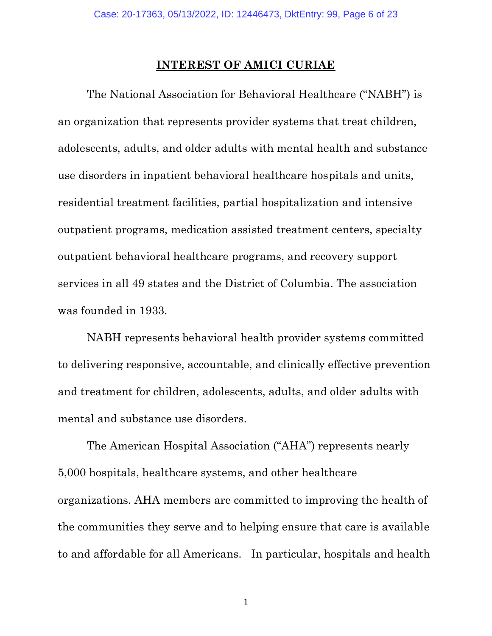#### **INTEREST OF AMICI CURIAE**

<span id="page-5-0"></span>The National Association for Behavioral Healthcare ("NABH") is an organization that represents provider systems that treat children, adolescents, adults, and older adults with mental health and substance use disorders in inpatient behavioral healthcare hospitals and units, residential treatment facilities, partial hospitalization and intensive outpatient programs, medication assisted treatment centers, specialty outpatient behavioral healthcare programs, and recovery support services in all 49 states and the District of Columbia. The association was founded in 1933.

NABH represents behavioral health provider systems committed to delivering responsive, accountable, and clinically effective prevention and treatment for children, adolescents, adults, and older adults with mental and substance use disorders.

The American Hospital Association ("AHA") represents nearly 5,000 hospitals, healthcare systems, and other healthcare organizations. AHA members are committed to improving the health of the communities they serve and to helping ensure that care is available to and affordable for all Americans. In particular, hospitals and health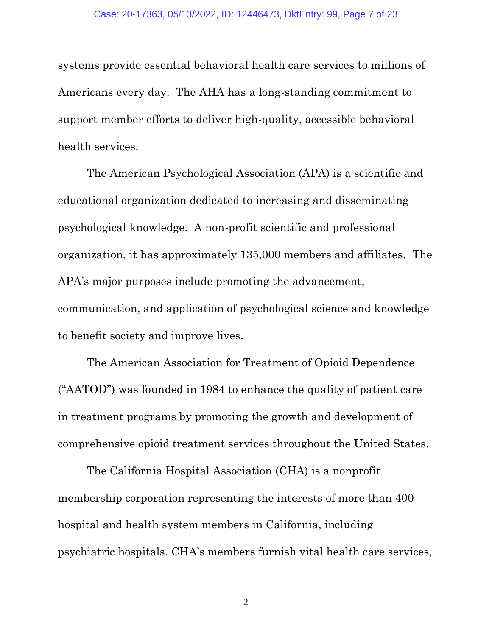systems provide essential behavioral health care services to millions of Americans every day. The AHA has a long-standing commitment to support member efforts to deliver high-quality, accessible behavioral health services.

The American Psychological Association (APA) is a scientific and educational organization dedicated to increasing and disseminating psychological knowledge. A non-profit scientific and professional organization, it has approximately 135,000 members and affiliates. The APA's major purposes include promoting the advancement, communication, and application of psychological science and knowledge to benefit society and improve lives.

The American Association for Treatment of Opioid Dependence ("AATOD") was founded in 1984 to enhance the quality of patient care in treatment programs by promoting the growth and development of comprehensive opioid treatment services throughout the United States.

The California Hospital Association (CHA) is a nonprofit membership corporation representing the interests of more than 400 hospital and health system members in California, including psychiatric hospitals. CHA's members furnish vital health care services,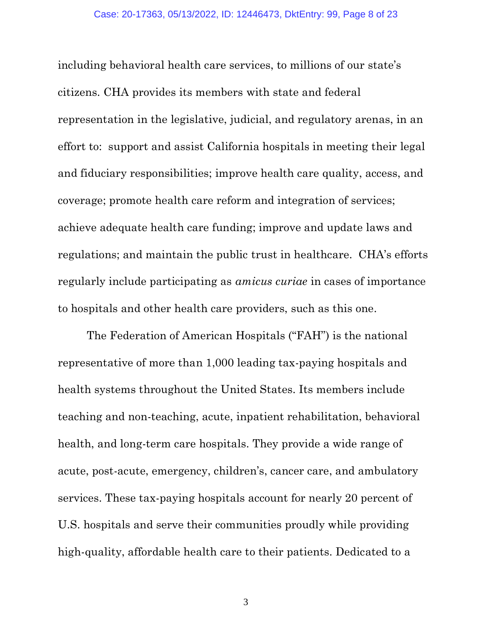including behavioral health care services, to millions of our state's citizens. CHA provides its members with state and federal representation in the legislative, judicial, and regulatory arenas, in an effort to: support and assist California hospitals in meeting their legal and fiduciary responsibilities; improve health care quality, access, and coverage; promote health care reform and integration of services; achieve adequate health care funding; improve and update laws and regulations; and maintain the public trust in healthcare. CHA's efforts regularly include participating as *amicus curiae* in cases of importance to hospitals and other health care providers, such as this one.

The Federation of American Hospitals ("FAH") is the national representative of more than 1,000 leading tax-paying hospitals and health systems throughout the United States. Its members include teaching and non-teaching, acute, inpatient rehabilitation, behavioral health, and long-term care hospitals. They provide a wide range of acute, post-acute, emergency, children's, cancer care, and ambulatory services. These tax-paying hospitals account for nearly 20 percent of U.S. hospitals and serve their communities proudly while providing high-quality, affordable health care to their patients. Dedicated to a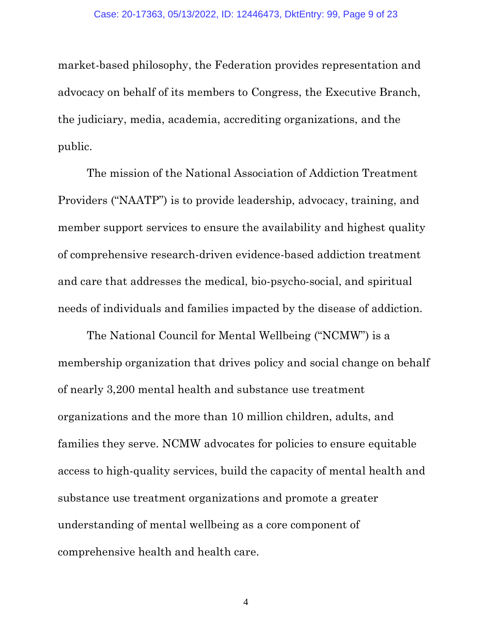market-based philosophy, the Federation provides representation and advocacy on behalf of its members to Congress, the Executive Branch, the judiciary, media, academia, accrediting organizations, and the public.

The mission of the National Association of Addiction Treatment Providers ("NAATP") is to provide leadership, advocacy, training, and member support services to ensure the availability and highest quality of comprehensive research-driven evidence-based addiction treatment and care that addresses the medical, bio-psycho-social, and spiritual needs of individuals and families impacted by the disease of addiction.

The National Council for Mental Wellbeing ("NCMW") is a membership organization that drives policy and social change on behalf of nearly 3,200 mental health and substance use treatment organizations and the more than 10 million children, adults, and families they serve. NCMW advocates for policies to ensure equitable access to high-quality services, build the capacity of mental health and substance use treatment organizations and promote a greater understanding of mental wellbeing as a core component of comprehensive health and health care.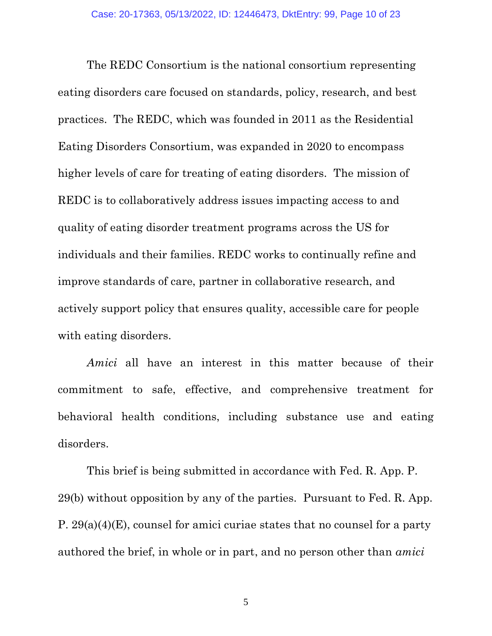The REDC Consortium is the national consortium representing eating disorders care focused on standards, policy, research, and best practices. The REDC, which was founded in 2011 as the Residential Eating Disorders Consortium, was expanded in 2020 to encompass higher levels of care for treating of eating disorders. The mission of REDC is to collaboratively address issues impacting access to and quality of eating disorder treatment programs across the US for individuals and their families. REDC works to continually refine and improve standards of care, partner in collaborative research, and actively support policy that ensures quality, accessible care for people with eating disorders.

*Amici* all have an interest in this matter because of their commitment to safe, effective, and comprehensive treatment for behavioral health conditions, including substance use and eating disorders.

This brief is being submitted in accordance with Fed. R. App. P. 29(b) without opposition by any of the parties. Pursuant to Fed. R. App. P. 29(a)(4)(E), counsel for amici curiae states that no counsel for a party authored the brief, in whole or in part, and no person other than *amici*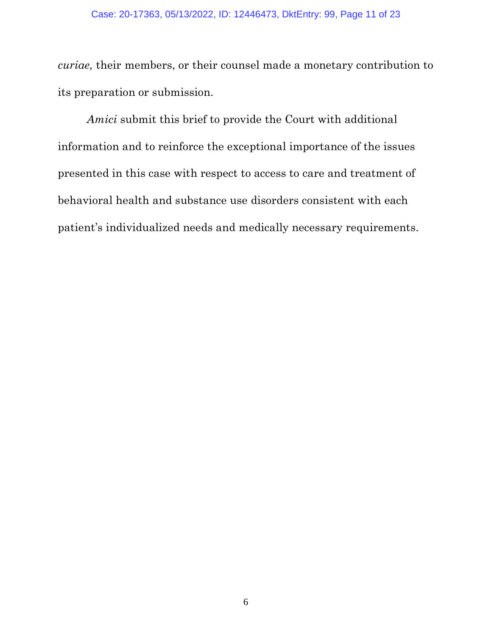#### Case: 20-17363, 05/13/2022, ID: 12446473, DktEntry: 99, Page 11 of 23

*curiae,* their members, or their counsel made a monetary contribution to its preparation or submission.

*Amici* submit this brief to provide the Court with additional information and to reinforce the exceptional importance of the issues presented in this case with respect to access to care and treatment of behavioral health and substance use disorders consistent with each patient's individualized needs and medically necessary requirements.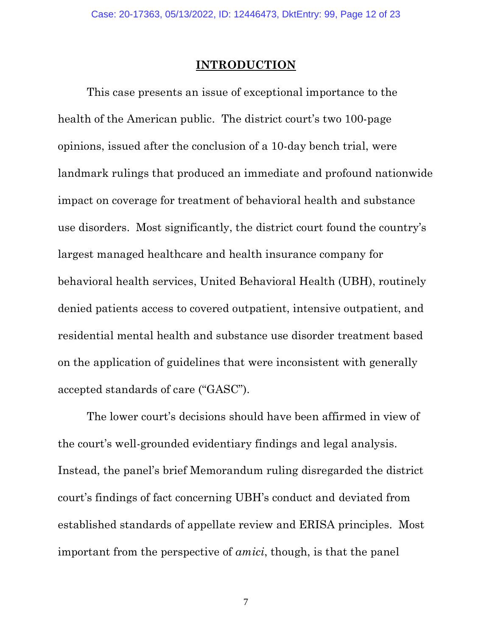## **INTRODUCTION**

<span id="page-11-0"></span>This case presents an issue of exceptional importance to the health of the American public. The district court's two 100-page opinions, issued after the conclusion of a 10-day bench trial, were landmark rulings that produced an immediate and profound nationwide impact on coverage for treatment of behavioral health and substance use disorders. Most significantly, the district court found the country's largest managed healthcare and health insurance company for behavioral health services, United Behavioral Health (UBH), routinely denied patients access to covered outpatient, intensive outpatient, and residential mental health and substance use disorder treatment based on the application of guidelines that were inconsistent with generally accepted standards of care ("GASC").

The lower court's decisions should have been affirmed in view of the court's well-grounded evidentiary findings and legal analysis. Instead, the panel's brief Memorandum ruling disregarded the district court's findings of fact concerning UBH's conduct and deviated from established standards of appellate review and ERISA principles. Most important from the perspective of *amici*, though, is that the panel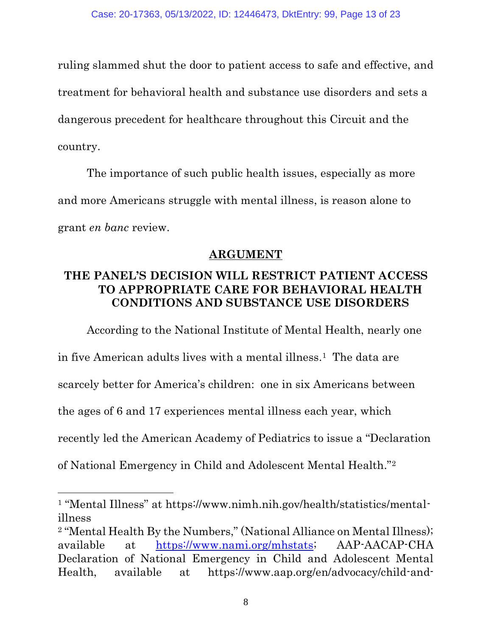ruling slammed shut the door to patient access to safe and effective, and treatment for behavioral health and substance use disorders and sets a dangerous precedent for healthcare throughout this Circuit and the country.

The importance of such public health issues, especially as more and more Americans struggle with mental illness, is reason alone to grant *en banc* review.

### **ARGUMENT**

### <span id="page-12-1"></span><span id="page-12-0"></span>**THE PANEL'S DECISION WILL RESTRICT PATIENT ACCESS TO APPROPRIATE CARE FOR BEHAVIORAL HEALTH CONDITIONS AND SUBSTANCE USE DISORDERS**

According to the National Institute of Mental Health, nearly one

in five American adults lives with a mental illness.1 The data are

scarcely better for America's children: one in six Americans between

the ages of 6 and 17 experiences mental illness each year, which

recently led the American Academy of Pediatrics to issue a "Declaration

of National Emergency in Child and Adolescent Mental Health."<sup>2</sup>

<sup>1</sup> "Mental Illness" at https://www.nimh.nih.gov/health/statistics/mentalillness

<sup>&</sup>lt;sup>2</sup> "Mental Health By the Numbers," (National Alliance on Mental Illness); available at [https://www.nami.org/mhstats;](https://www.nami.org/mhstats) AAP-AACAP-CHA Declaration of National Emergency in Child and Adolescent Mental Health, available at https://www.aap.org/en/advocacy/child-and-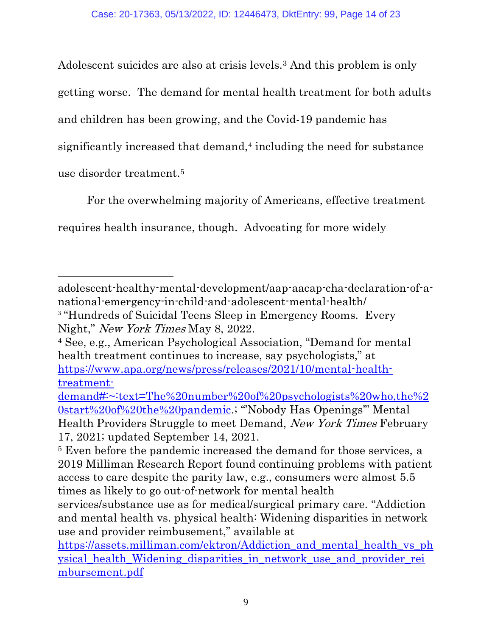Adolescent suicides are also at crisis levels.<sup>3</sup> And this problem is only getting worse. The demand for mental health treatment for both adults and children has been growing, and the Covid-19 pandemic has significantly increased that demand, <sup>4</sup> including the need for substance use disorder treatment. 5

For the overwhelming majority of Americans, effective treatment requires health insurance, though. Advocating for more widely

adolescent-healthy-mental-development/aap-aacap-cha-declaration-of-anational-emergency-in-child-and-adolescent-mental-health/ <sup>3</sup> "Hundreds of Suicidal Teens Sleep in Emergency Rooms. Every Night," New York Times May 8, 2022.

<sup>4</sup> See, e.g., American Psychological Association, "Demand for mental health treatment continues to increase, say psychologists," at [https://www.apa.org/news/press/releases/2021/10/mental-health](https://www.apa.org/news/press/releases/2021/10/mental-health-treatment-demand#:~:text=The%20number%20of%20psychologists%20who,the%20start%20of%20the%20pandemic)[treatment-](https://www.apa.org/news/press/releases/2021/10/mental-health-treatment-demand#:~:text=The%20number%20of%20psychologists%20who,the%20start%20of%20the%20pandemic)

[demand#:~:text=The%20number%20of%20psychologists%20who,the%2](https://www.apa.org/news/press/releases/2021/10/mental-health-treatment-demand#:~:text=The%20number%20of%20psychologists%20who,the%20start%20of%20the%20pandemic) [0start%20of%20the%20pandemic](https://www.apa.org/news/press/releases/2021/10/mental-health-treatment-demand#:~:text=The%20number%20of%20psychologists%20who,the%20start%20of%20the%20pandemic).; "'Nobody Has Openings'" Mental Health Providers Struggle to meet Demand, New York Times February 17, 2021; updated September 14, 2021.

<sup>&</sup>lt;sup>5</sup> Even before the pandemic increased the demand for those services, a 2019 Milliman Research Report found continuing problems with patient access to care despite the parity law, e.g., consumers were almost 5.5 times as likely to go out-of-network for mental health

services/substance use as for medical/surgical primary care. "Addiction and mental health vs. physical health: Widening disparities in network use and provider reimbusement," available at

[https://assets.milliman.com/ektron/Addiction\\_and\\_mental\\_health\\_vs\\_ph](https://assets.milliman.com/ektron/Addiction_and_mental_health_vs_physical_health_Widening_disparities_in_network_use_and_provider_reimbursement.pdf) [ysical\\_health\\_Widening\\_disparities\\_in\\_network\\_use\\_and\\_provider\\_rei](https://assets.milliman.com/ektron/Addiction_and_mental_health_vs_physical_health_Widening_disparities_in_network_use_and_provider_reimbursement.pdf) [mbursement.pdf](https://assets.milliman.com/ektron/Addiction_and_mental_health_vs_physical_health_Widening_disparities_in_network_use_and_provider_reimbursement.pdf)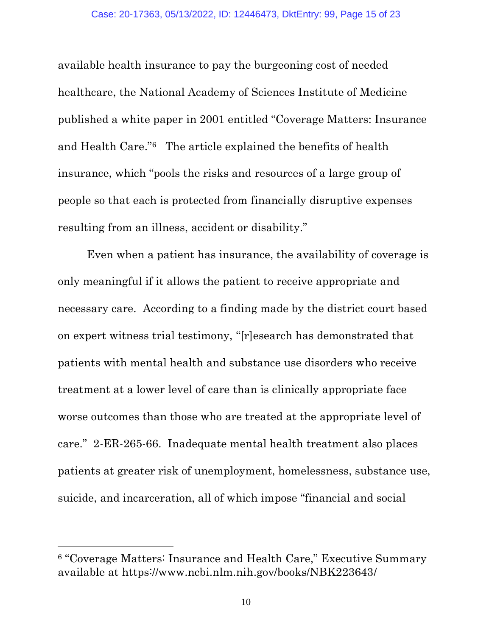available health insurance to pay the burgeoning cost of needed healthcare, the National Academy of Sciences Institute of Medicine published a white paper in 2001 entitled "Coverage Matters: Insurance and Health Care."6 The article explained the benefits of health insurance, which "pools the risks and resources of a large group of people so that each is protected from financially disruptive expenses resulting from an illness, accident or disability."

Even when a patient has insurance, the availability of coverage is only meaningful if it allows the patient to receive appropriate and necessary care. According to a finding made by the district court based on expert witness trial testimony, "[r]esearch has demonstrated that patients with mental health and substance use disorders who receive treatment at a lower level of care than is clinically appropriate face worse outcomes than those who are treated at the appropriate level of care." 2-ER-265-66. Inadequate mental health treatment also places patients at greater risk of unemployment, homelessness, substance use, suicide, and incarceration, all of which impose "financial and social

<sup>6</sup> "Coverage Matters: Insurance and Health Care," Executive Summary available at https://www.ncbi.nlm.nih.gov/books/NBK223643/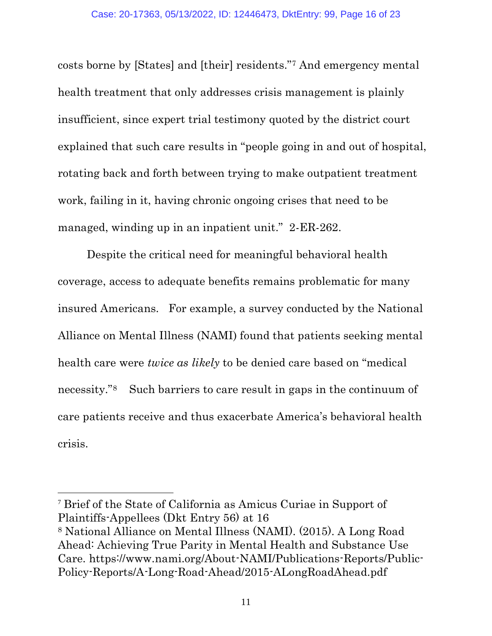costs borne by [States] and [their] residents."<sup>7</sup> And emergency mental health treatment that only addresses crisis management is plainly insufficient, since expert trial testimony quoted by the district court explained that such care results in "people going in and out of hospital, rotating back and forth between trying to make outpatient treatment work, failing in it, having chronic ongoing crises that need to be managed, winding up in an inpatient unit." 2-ER-262.

Despite the critical need for meaningful behavioral health coverage, access to adequate benefits remains problematic for many insured Americans. For example, a survey conducted by the National Alliance on Mental Illness (NAMI) found that patients seeking mental health care were *twice as likely* to be denied care based on "medical necessity."8 Such barriers to care result in gaps in the continuum of care patients receive and thus exacerbate America's behavioral health crisis.

<sup>7</sup> Brief of the State of California as Amicus Curiae in Support of Plaintiffs-Appellees (Dkt Entry 56) at 16

<sup>8</sup> National Alliance on Mental Illness (NAMI). (2015). A Long Road Ahead: Achieving True Parity in Mental Health and Substance Use Care. https://www.nami.org/About-NAMI/Publications-Reports/Public-Policy-Reports/A-Long-Road-Ahead/2015-ALongRoadAhead.pdf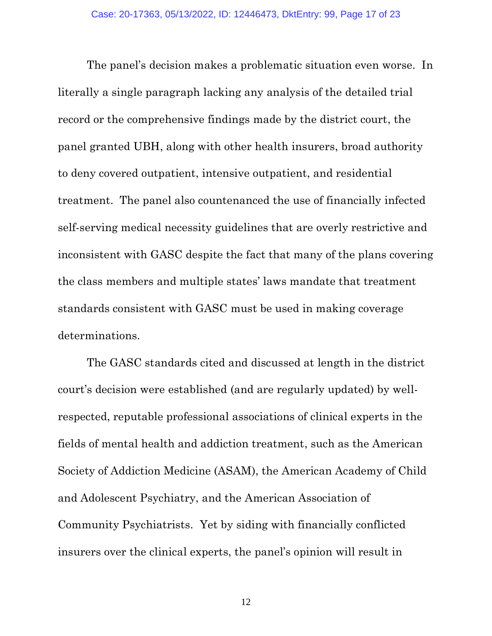The panel's decision makes a problematic situation even worse. In literally a single paragraph lacking any analysis of the detailed trial record or the comprehensive findings made by the district court, the panel granted UBH, along with other health insurers, broad authority to deny covered outpatient, intensive outpatient, and residential treatment. The panel also countenanced the use of financially infected self-serving medical necessity guidelines that are overly restrictive and inconsistent with GASC despite the fact that many of the plans covering the class members and multiple states' laws mandate that treatment standards consistent with GASC must be used in making coverage determinations.

The GASC standards cited and discussed at length in the district court's decision were established (and are regularly updated) by wellrespected, reputable professional associations of clinical experts in the fields of mental health and addiction treatment, such as the American Society of Addiction Medicine (ASAM), the American Academy of Child and Adolescent Psychiatry, and the American Association of Community Psychiatrists. Yet by siding with financially conflicted insurers over the clinical experts, the panel's opinion will result in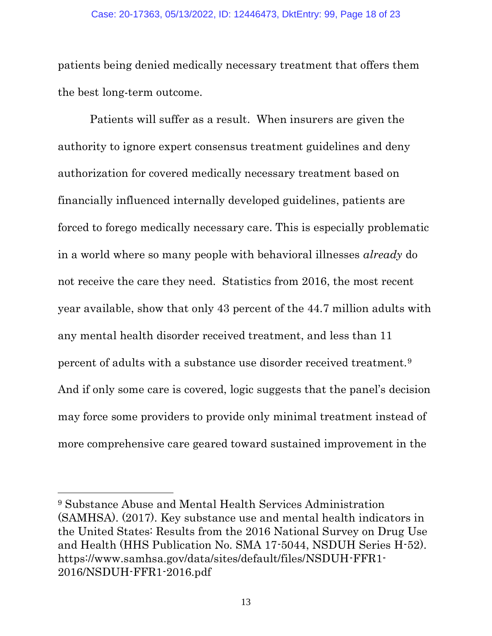patients being denied medically necessary treatment that offers them the best long-term outcome.

Patients will suffer as a result. When insurers are given the authority to ignore expert consensus treatment guidelines and deny authorization for covered medically necessary treatment based on financially influenced internally developed guidelines, patients are forced to forego medically necessary care. This is especially problematic in a world where so many people with behavioral illnesses *already* do not receive the care they need. Statistics from 2016, the most recent year available, show that only 43 percent of the 44.7 million adults with any mental health disorder received treatment, and less than 11 percent of adults with a substance use disorder received treatment.<sup>9</sup> And if only some care is covered, logic suggests that the panel's decision may force some providers to provide only minimal treatment instead of more comprehensive care geared toward sustained improvement in the

<sup>9</sup> Substance Abuse and Mental Health Services Administration (SAMHSA). (2017). Key substance use and mental health indicators in the United States: Results from the 2016 National Survey on Drug Use and Health (HHS Publication No. SMA 17-5044, NSDUH Series H-52). https://www.samhsa.gov/data/sites/default/files/NSDUH-FFR1- 2016/NSDUH-FFR1-2016.pdf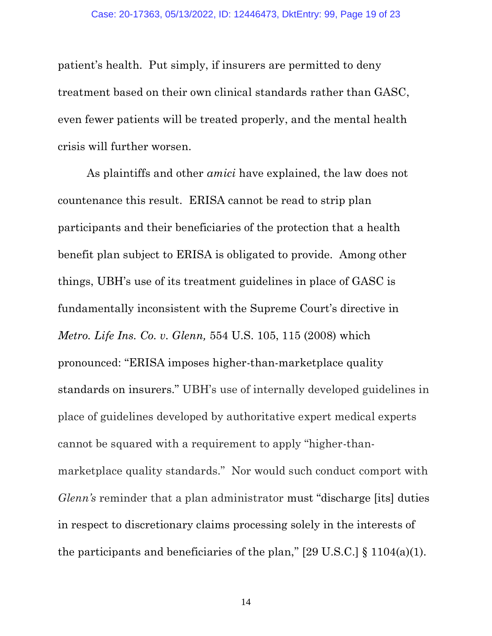patient's health. Put simply, if insurers are permitted to deny treatment based on their own clinical standards rather than GASC, even fewer patients will be treated properly, and the mental health crisis will further worsen.

As plaintiffs and other *amici* have explained, the law does not countenance this result. ERISA cannot be read to strip plan participants and their beneficiaries of the protection that a health benefit plan subject to ERISA is obligated to provide. Among other things, UBH's use of its treatment guidelines in place of GASC is fundamentally inconsistent with the Supreme Court's directive in *Metro. Life Ins. Co. v. Glenn,* 554 U.S. 105, 115 (2008) which pronounced: "ERISA imposes higher-than-marketplace quality standards on insurers." UBH's use of internally developed guidelines in place of guidelines developed by authoritative expert medical experts cannot be squared with a requirement to apply "higher-thanmarketplace quality standards." Nor would such conduct comport with *Glenn's* reminder that a plan administrator must "discharge [its] duties in respect to discretionary claims processing solely in the interests of the participants and beneficiaries of the plan,"  $[29 \text{ U.S.C.}]$  § 1104(a)(1).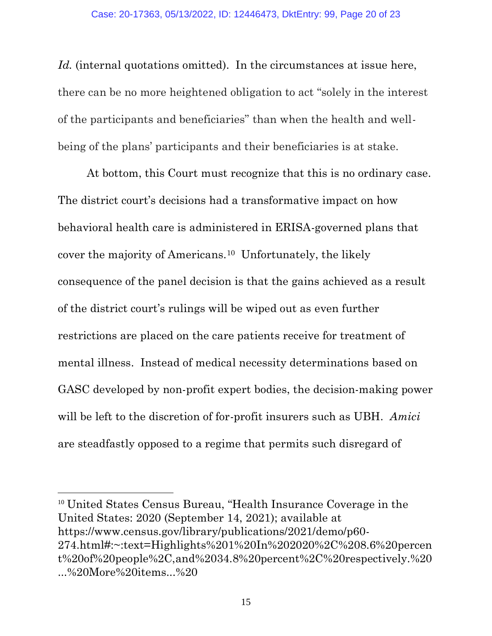Id. (internal quotations omitted). In the circumstances at issue here, there can be no more heightened obligation to act "solely in the interest of the participants and beneficiaries" than when the health and wellbeing of the plans' participants and their beneficiaries is at stake.

At bottom, this Court must recognize that this is no ordinary case. The district court's decisions had a transformative impact on how behavioral health care is administered in ERISA-governed plans that cover the majority of Americans.<sup>10</sup> Unfortunately, the likely consequence of the panel decision is that the gains achieved as a result of the district court's rulings will be wiped out as even further restrictions are placed on the care patients receive for treatment of mental illness. Instead of medical necessity determinations based on GASC developed by non-profit expert bodies, the decision-making power will be left to the discretion of for-profit insurers such as UBH. *Amici*  are steadfastly opposed to a regime that permits such disregard of

<sup>10</sup> United States Census Bureau, "Health Insurance Coverage in the United States: 2020 (September 14, 2021); available at https://www.census.gov/library/publications/2021/demo/p60- 274.html#:~:text=Highlights%201%20In%202020%2C%208.6%20percen t%20of%20people%2C,and%2034.8%20percent%2C%20respectively.%20 ...%20More%20items...%20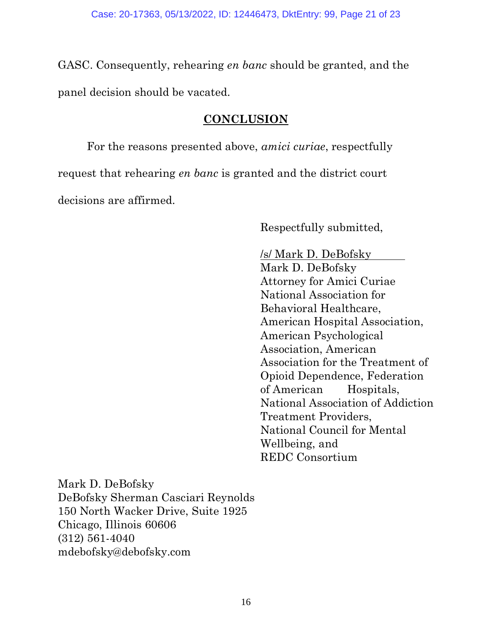GASC. Consequently, rehearing *en banc* should be granted, and the panel decision should be vacated.

### **CONCLUSION**

<span id="page-20-0"></span>For the reasons presented above, *amici curiae*, respectfully request that rehearing *en banc* is granted and the district court decisions are affirmed.

Respectfully submitted,

/s/ Mark D. DeBofsky Mark D. DeBofsky Attorney for Amici Curiae National Association for Behavioral Healthcare, American Hospital Association, American Psychological Association, American Association for the Treatment of Opioid Dependence, Federation of American Hospitals, National Association of Addiction Treatment Providers, National Council for Mental Wellbeing, and REDC Consortium

Mark D. DeBofsky DeBofsky Sherman Casciari Reynolds 150 North Wacker Drive, Suite 1925 Chicago, Illinois 60606 (312) 561-4040 mdebofsky@debofsky.com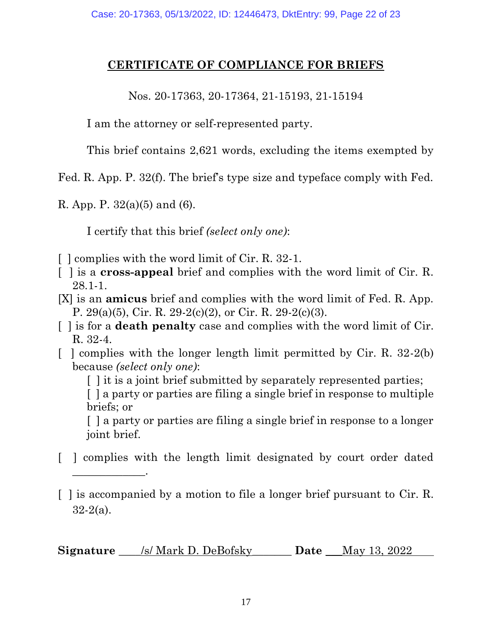### **CERTIFICATE OF COMPLIANCE FOR BRIEFS**

Nos. 20-17363, 20-17364, 21-15193, 21-15194

I am the attorney or self-represented party.

This brief contains 2,621 words, excluding the items exempted by

Fed. R. App. P. 32(f). The brief's type size and typeface comply with Fed.

R. App. P.  $32(a)(5)$  and (6).

\_\_\_\_\_\_\_\_\_\_\_\_\_.

I certify that this brief *(select only one)*:

- [ ] complies with the word limit of Cir. R. 32-1.
- [ ] is a **cross-appeal** brief and complies with the word limit of Cir. R. 28.1-1.
- [X] is an **amicus** brief and complies with the word limit of Fed. R. App. P. 29(a)(5), Cir. R. 29-2(c)(2), or Cir. R. 29-2(c)(3).
- [ ] is for a **death penalty** case and complies with the word limit of Cir. R. 32-4.
- $\lceil$  l complies with the longer length limit permitted by Cir. R. 32-2(b) because *(select only one)*:

[ ] it is a joint brief submitted by separately represented parties;

[ ] a party or parties are filing a single brief in response to multiple briefs; or

[ ] a party or parties are filing a single brief in response to a longer joint brief.

[ ] complies with the length limit designated by court order dated

**Signature** \_\_\_\_/s/ Mark D. DeBofsky\_\_\_\_\_\_\_ **Date** \_\_\_May 13, 2022

<sup>[ ]</sup> is accompanied by a motion to file a longer brief pursuant to Cir. R.  $32-2(a)$ .